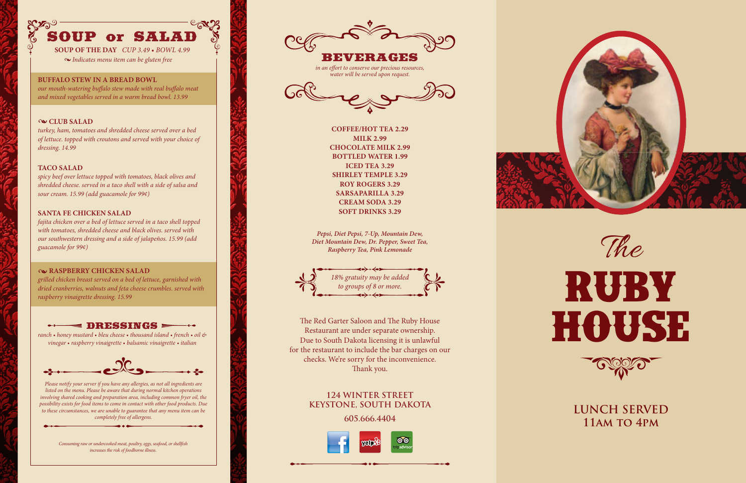#### **BUFFALO STEW IN A BREAD BOWL**

*our mouth-watering buffalo stew made with real buffalo meat and mixed vegetables served in a warm bread bowl. 13.99*

#### **SANTA FE CHICKEN SALAD**

*fajita chicken over a bed of lettuce served in a taco shell topped with tomatoes, shredded cheese and black olives. served with our southwestern dressing and a side of jalapeños. 15.99 (add guacamole for 99¢)*

#### **RASPBERRY CHICKEN SALAD**

*grilled chicken breast served on a bed of lettuce, garnished with dried cranberries, walnuts and feta cheese crumbles. served with raspberry vinaigrette dressing. 15.99*

#### $\blacktriangleleft$  DRESSINGS  $\blacktriangleright$

#### **TACO SALAD**

*spicy beef over lettuce topped with tomatoes, black olives and shredded cheese. served in a taco shell with a side of salsa and sour cream. 15.99 (add guacamole for 99¢)*

#### **CLUB SALAD**

*turkey, ham, tomatoes and shredded cheese served over a bed of lettuce. topped with croutons and served with your choice of dressing. 14.99*

*ranch • honey mustard • bleu cheese • thousand island • french • oil & vinegar • raspberry vinaigrette • balsamic vinaigrette • italian*



# SOUP or SALAD

**SOUP OF THE DAY** *CUP 3.49 • BOWL 4.99 Indicates menu item can be gluten free*



The Red Garter Saloon and The Ruby House Restaurant are under separate ownership. Due to South Dakota licensing it is unlawful for the restaurant to include the bar charges on our checks. We're sorry for the inconvenience. Thank you.

### **124 WINTER STREET KEYSTONE, SOUTH DAKOTA**

#### **605.666.4404**







**COFFEE/HOT TEA 2.29 MILK 2.99 CHOCOLATE MILK 2.99 BOTTLED WATER 1.99 ICED TEA 3.29 SHIRLEY TEMPLE 3.29 ROY ROGERS 3.29 SARSAPARILLA 3.29 CREAM SODA 3.29 SOFT DRINKS 3.29**

# **Ruby House**



The

**LUNCH SERVED 11am to 4pm**

BEVERAGES

*in an effort to conserve our precious resources, water will be served upon request.*



*Pepsi, Diet Pepsi, 7-Up, Mountain Dew, Diet Mountain Dew, Dr. Pepper, Sweet Tea, Raspberry Tea, Pink Lemonade*

*Please notify your server if you have any allergies, as not all ingredients are listed on the menu. Please be aware that during normal kitchen operations involving shared cooking and preparation area, including common fryer oil, the possibility exists for food items to come in contact with other food products. Due to these circumstances, we are unable to guarantee that any menu item can be completely free of allergens.*

> *Consuming raw or undercooked meat, poultry, eggs, seafood, or shellfish increases the risk of foodborne illness.*